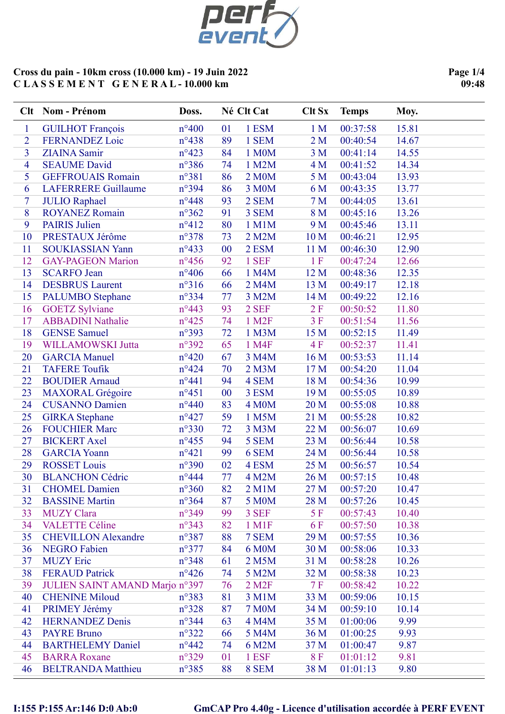

Page 1/4 09:48

|                          | Clt Nom - Prénom                                         | Doss.                            |          | Né Clt Cat                      | Clt Sx           | <b>Temps</b>         | Moy.           |
|--------------------------|----------------------------------------------------------|----------------------------------|----------|---------------------------------|------------------|----------------------|----------------|
| $\mathbf{1}$             | <b>GUILHOT François</b>                                  | $n^{\circ}400$                   | 01       | 1 ESM                           | 1 <sub>M</sub>   | 00:37:58             | 15.81          |
| $\overline{2}$           | <b>FERNANDEZ Loic</b>                                    | $n^{\circ}438$                   | 89       | 1 SEM                           | 2 <sub>M</sub>   | 00:40:54             | 14.67          |
| 3                        | <b>ZIAINA</b> Samir                                      | $n^{\circ}423$                   | 84       | 1 M0M                           | 3 <sub>M</sub>   | 00:41:14             | 14.55          |
| $\overline{4}$           | <b>SEAUME David</b>                                      | $n^{\circ}386$                   | 74       | 1 M2M                           | 4 M              | 00:41:52             | 14.34          |
| 5                        | <b>GEFFROUAIS Romain</b>                                 | $n^{\circ}381$                   | 86       | 2 M0M                           | 5 <sub>M</sub>   | 00:43:04             | 13.93          |
| 6                        | <b>LAFERRERE Guillaume</b>                               | n°394                            | 86       | 3 M0M                           | 6 M              | 00:43:35             | 13.77          |
| $\overline{\mathcal{I}}$ | <b>JULIO Raphael</b>                                     | $n^{\circ}448$                   | 93       | 2 SEM                           | 7 <sub>M</sub>   | 00:44:05             | 13.61          |
| 8                        | <b>ROYANEZ Romain</b>                                    | $n^{\circ}362$                   | 91       | 3 SEM                           | 8 M              | 00:45:16             | 13.26          |
| 9                        | <b>PAIRIS</b> Julien                                     | $n^{\circ}412$                   | 80       | 1 M1M                           | 9 M              | 00:45:46             | 13.11          |
| 10                       | PRESTAUX Jérôme                                          | $n^{\circ}378$                   | 73       | 2 M2M                           | 10 <sub>M</sub>  | 00:46:21             | 12.95          |
| 11                       | <b>SOUKIASSIAN Yann</b>                                  | $n^{\circ}433$                   | 00       | 2 ESM                           | 11 <sub>M</sub>  | 00:46:30             | 12.90          |
| 12                       | <b>GAY-PAGEON Marion</b>                                 | $n^{\circ}456$                   | 92       | 1 SEF                           | 1F               | 00:47:24             | 12.66          |
| 13                       | <b>SCARFO</b> Jean                                       | $n^{\circ}406$                   | 66       | 1 M4M                           | 12 M             | 00:48:36             | 12.35          |
| 14                       | <b>DESBRUS</b> Laurent                                   | $n^{\circ}316$                   | 66       | 2 M4M                           | 13 M             | 00:49:17             | 12.18          |
| 15                       | <b>PALUMBO</b> Stephane                                  | $n^{\circ}334$                   | 77       | 3 M2M                           | 14 M             | 00:49:22             | 12.16          |
| 16                       | <b>GOETZ Sylviane</b>                                    | $n^{\circ}443$                   | 93       | 2 SEF                           | 2 F              | 00:50:52             | 11.80          |
| 17                       | <b>ABBADINI Nathalie</b>                                 | $n^{\circ}425$                   | 74       | 1 M <sub>2</sub> F              | 3F               | 00:51:54             | 11.56          |
| 18                       | <b>GENSE Samuel</b>                                      | n°393                            | 72       | 1 M3M                           | 15 M             | 00:52:15             | 11.49          |
| 19                       | WILLAMOWSKI Jutta                                        | $n^{\circ}392$                   | 65       | 1 M4F                           | 4F               | 00:52:37             | 11.41          |
| 20                       | <b>GARCIA Manuel</b>                                     | $n^{\circ}420$                   | 67       | 3 M4M                           | 16 M             | 00:53:53             | 11.14          |
| 21                       | <b>TAFERE Toufik</b>                                     | $n^{\circ}424$                   | 70       | $2$ M $3M$                      | 17 M             | 00:54:20             | 11.04          |
| 22                       | <b>BOUDIER Arnaud</b>                                    | $n^{\circ}441$                   | 94       | 4 SEM                           | 18 M             | 00:54:36             | 10.99          |
| 23                       | <b>MAXORAL</b> Grégoire                                  | $n^{\circ}451$                   | 00       | 3 ESM                           | 19 M             | 00:55:05             | 10.89          |
| 24                       | <b>CUSANNO Damien</b>                                    | $n^{\circ}440$                   | 83       | 4 M <sub>0</sub> M              | 20 M             | 00:55:08             | 10.88          |
| 25                       | <b>GIRKA</b> Stephane                                    | $n^{\circ}427$                   | 59       | 1 M5M                           | 21 M             | 00:55:28             | 10.82          |
| 26                       | <b>FOUCHIER Marc</b>                                     | $n^{\circ}330$                   | 72       | 3 M3M                           | 22 M             | 00:56:07             | 10.69          |
| 27                       | <b>BICKERT</b> Axel                                      | $n^{\circ}455$                   | 94       | 5 SEM                           | 23 M             | 00:56:44             | 10.58          |
| 28                       | <b>GARCIA Yoann</b>                                      | $n^{\circ}421$                   | 99       | 6 SEM                           | 24 M             | 00:56:44             | 10.58          |
| 29                       | <b>ROSSET Louis</b>                                      | $n^{\circ}390$                   | 02       | 4 ESM                           | 25 M             | 00:56:57             | 10.54          |
| 30                       | <b>BLANCHON Cédric</b>                                   | $n^{\circ}444$                   | 77       | 4 M2M                           | 26 M             | 00:57:15             | 10.48          |
| 31                       | <b>CHOMEL Damien</b>                                     | $n^{\circ}360$                   | 82       | $2$ M $1$ M                     | 27 M             | 00:57:20             | 10.47          |
| 32                       | <b>BASSINE Martin</b><br><b>MUZY</b> Clara               | $n^{\circ}364$                   | 87       | 5 M0M                           | 28 M             | 00:57:26             | 10.45          |
| 33<br>34                 | <b>VALETTE Céline</b>                                    | $n^{\circ}349$<br>$n^{\circ}343$ | 99       | 3 SEF                           | 5 F<br><b>6F</b> | 00:57:43             | 10.40<br>10.38 |
| 35                       | <b>CHEVILLON Alexandre</b>                               | n°387                            | 82<br>88 | 1 M1F<br>7 SEM                  | 29 M             | 00:57:50<br>00:57:55 | 10.36          |
| 36                       | <b>NEGRO Fabien</b>                                      | $n^{\circ}377$                   | 84       | 6 M0M                           | 30 M             | 00:58:06             | 10.33          |
| 37                       | <b>MUZY Eric</b>                                         | $n^{\circ}348$                   | 61       | 2 M5M                           | 31 M             | 00:58:28             | 10.26          |
| 38                       |                                                          | $n^{\circ}426$                   |          |                                 |                  |                      | 10.23          |
| 39                       | <b>FERAUD Patrick</b><br>JULIEN SAINT AMAND Marjon nº397 |                                  | 74<br>76 | 5 M2M<br>$2$ M <sub>2</sub> $F$ | 32 M<br>7F       | 00:58:38<br>00:58:42 | 10.22          |
| 40                       | <b>CHENINE Miloud</b>                                    | $n^{\circ}383$                   | 81       | 3 M1M                           | 33 M             | 00:59:06             | 10.15          |
| 41                       | PRIMEY Jérémy                                            | $n^{\circ}328$                   | 87       | <b>7 M0M</b>                    | 34 M             | 00:59:10             | 10.14          |
| 42                       | <b>HERNANDEZ Denis</b>                                   | $n^{\circ}344$                   | 63       | 4 M4M                           | 35 M             | 01:00:06             | 9.99           |
| 43                       | <b>PAYRE Bruno</b>                                       | $n^{\circ}322$                   | 66       | 5 M4M                           | 36 M             | 01:00:25             | 9.93           |
| 44                       | <b>BARTHELEMY Daniel</b>                                 | $n^{\circ}442$                   | 74       | 6 M2M                           | 37 M             | 01:00:47             | 9.87           |
| 45                       | <b>BARRA Roxane</b>                                      | $n^{\circ}329$                   | 01       | 1 ESF                           | 8F               | 01:01:12             | 9.81           |
| 46                       | <b>BELTRANDA Matthieu</b>                                | $n^{\circ}385$                   | 88       | 8 SEM                           | 38 M             | 01:01:13             | 9.80           |
|                          |                                                          |                                  |          |                                 |                  |                      |                |

# I:155 P:155 Ar:146 D:0 Ab:0 GmCAP Pro 4.40g - Licence d'utilisation accordée à PERF EVENT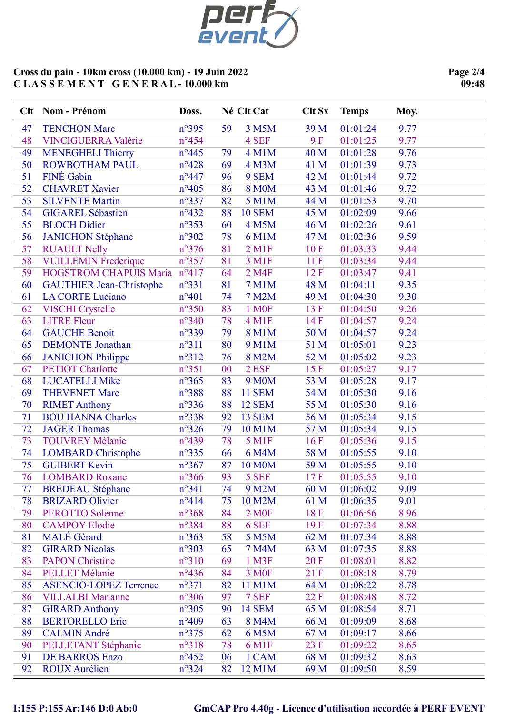

Page 2/4  $09:48$ 

|          | Clt Nom - Prénom                             | Doss.                            |    | Né Clt Cat             | <b>Clt Sx</b> | <b>Temps</b>         | Moy.         |
|----------|----------------------------------------------|----------------------------------|----|------------------------|---------------|----------------------|--------------|
| 47       | <b>TENCHON Marc</b>                          | $n^{\circ}395$                   | 59 | 3 M5M                  | 39 M          | 01:01:24             | 9.77         |
| 48       | <b>VINCIGUERRA Valérie</b>                   | $n^{\circ}454$                   |    | 4 SEF                  | <b>9F</b>     | 01:01:25             | 9.77         |
| 49       | <b>MENEGHELI Thierry</b>                     | $n^{\circ}445$                   | 79 | 4 M1M                  | 40 M          | 01:01:28             | 9.76         |
| 50       | ROWBOTHAM PAUL                               | $n^{\circ}428$                   | 69 | 4 M3M                  | 41 M          | 01:01:39             | 9.73         |
| 51       | FINÉ Gabin                                   | $n^{\circ}447$                   | 96 | 9 SEM                  | 42 M          | 01:01:44             | 9.72         |
| 52       | <b>CHAVRET Xavier</b>                        | $n^{\circ}405$                   | 86 | <b>8 M0M</b>           | 43 M          | 01:01:46             | 9.72         |
| 53       | <b>SILVENTE Martin</b>                       | $n^{\circ}337$                   | 82 | 5 M1M                  | 44 M          | 01:01:53             | 9.70         |
| 54       | <b>GIGAREL Sébastien</b>                     | $n^{\circ}432$                   | 88 | <b>10 SEM</b>          | 45 M          | 01:02:09             | 9.66         |
| 55       | <b>BLOCH Didier</b>                          | $n^{\circ}353$                   | 60 | 4 M5M                  | 46 M          | 01:02:26             | 9.61         |
| 56       | <b>JANICHON Stéphane</b>                     | $n^{\circ}302$                   | 78 | 6 M1M                  | 47 M          | 01:02:36             | 9.59         |
| 57       | <b>RUAULT Nelly</b>                          | $n^{\circ}376$                   | 81 | $2$ M <sub>1</sub> $F$ | 10F           | 01:03:33             | 9.44         |
| 58       | <b>VUILLEMIN Frederique</b>                  | $n^{\circ}357$                   | 81 | 3 M1F                  | 11F           | 01:03:34             | 9.44         |
| 59       | HOGSTROM CHAPUIS Maria nº417                 |                                  | 64 | 2 M4F                  | 12 F          | 01:03:47             | 9.41         |
| 60       | <b>GAUTHIER Jean-Christophe</b>              | $n^{\circ}331$                   | 81 | 7 M1M                  | 48 M          | 01:04:11             | 9.35         |
| 61       | <b>LA CORTE Luciano</b>                      | $n^{\circ}401$                   | 74 | 7 M2M                  | 49 M          | 01:04:30             | 9.30         |
| 62       | <b>VISCHI</b> Crystelle                      | $n^{\circ}350$                   | 83 | 1 M <sub>OF</sub>      | 13 F          | 01:04:50             | 9.26         |
| 63       | <b>LITRE Fleur</b>                           | $n^{\circ}340$                   | 78 | $4 \,\mathrm{M1F}$     | 14 F          | 01:04:57             | 9.24         |
| 64       | <b>GAUCHE Benoit</b>                         | $n^{\circ}339$                   | 79 | 8 M1M                  | 50 M          | 01:04:57             | 9.24         |
| 65       | <b>DEMONTE</b> Jonathan                      | $n^{\circ}311$                   | 80 | 9 M1M                  | 51 M          | 01:05:01             | 9.23         |
| 66       | <b>JANICHON Philippe</b>                     | $n^{\circ}312$                   | 76 | 8 M2M                  | 52 M          | 01:05:02             | 9.23         |
| 67       | <b>PETIOT</b> Charlotte                      | $n^{\circ}351$                   | 00 | 2 ESF                  | 15 F          | 01:05:27             | 9.17         |
| 68       | <b>LUCATELLI Mike</b>                        | $n^{\circ}365$                   | 83 | 9 M <sub>0</sub> M     | 53 M          | 01:05:28             | 9.17         |
| 69       | <b>THEVENET Marc</b>                         | n°388                            | 88 | <b>11 SEM</b>          | 54 M          | 01:05:30             | 9.16         |
| 70       | <b>RIMET Anthony</b>                         | $n^{\circ}336$                   | 88 | <b>12 SEM</b>          | 55 M          | 01:05:30             | 9.16         |
| 71       | <b>BOU HANNA Charles</b>                     | $n^{\circ}338$                   | 92 | <b>13 SEM</b>          | 56 M          | 01:05:34             | 9.15         |
| 72       | <b>JAGER Thomas</b>                          | $n^{\circ}326$                   | 79 | 10 M1M                 | 57 M          | 01:05:34             | 9.15         |
| 73       | <b>TOUVREY Mélanie</b>                       | $n^{\circ}439$                   | 78 | 5 M1F                  | 16F           | 01:05:36             | 9.15         |
| 74       | <b>LOMBARD</b> Christophe                    | $n^{\circ}335$                   | 66 | 6 M4M                  | 58 M          | 01:05:55             | 9.10         |
| 75       | <b>GUIBERT Kevin</b>                         | $n^{\circ}367$                   | 87 | <b>10 M0M</b>          | 59 M          | 01:05:55             | 9.10         |
| 76       | <b>LOMBARD Roxane</b>                        | $n^{\circ}366$                   | 93 | 5 SEF                  | 17F           | 01:05:55             | 9.10         |
| 77       | <b>BREDEAU</b> Stéphane                      | $n^{\circ}341$                   | 74 | 9 M2M                  | 60 M          | 01:06:02             | 9.09         |
| 78       | <b>BRIZARD Olivier</b>                       | $n^{\circ}414$                   | 75 | 10 M2M                 | 61 M          | 01:06:35             | 9.01         |
| 79       | <b>PEROTTO Solenne</b>                       | $n^{\circ}368$                   | 84 | 2 M <sub>OF</sub>      | 18F           | 01:06:56             | 8.96         |
| 80       | <b>CAMPOY Elodie</b>                         | n°384                            | 88 | 6 SEF                  | 19F           | 01:07:34             | 8.88         |
| 81       | MALÉ Gérard                                  | $n^{\circ}363$                   | 58 | 5 M5M                  | 62 M          | 01:07:34             | 8.88         |
| 82       | <b>GIRARD Nicolas</b>                        | $n^{\circ}303$                   | 65 | 7 M4M                  | 63 M          | 01:07:35             | 8.88         |
| 83       | <b>PAPON Christine</b>                       | $n^{\circ}310$                   | 69 | 1 M3F                  | 20 F          | 01:08:01             | 8.82         |
| 84       | <b>PELLET Mélanie</b>                        | $n^{\circ}436$                   | 84 | 3 M <sub>OF</sub>      | 21 F          | 01:08:18             | 8.79         |
| 85       | <b>ASENCIO-LOPEZ Terrence</b>                | $n^{\circ}371$                   | 82 | 11 M1M                 | 64 M          | 01:08:22             | 8.78         |
| 86       | <b>VILLALBI Marianne</b>                     | $n^{\circ}306$                   | 97 | 7 SEF                  | 22 F          | 01:08:48             | 8.72         |
| 87       | <b>GIRARD Anthony</b>                        | $n^{\circ}305$                   | 90 | <b>14 SEM</b>          | 65 M          | 01:08:54             | 8.71         |
| 88       | <b>BERTORELLO Eric</b>                       | $n^{\circ}409$                   | 63 | 8 M4M                  | 66 M          | 01:09:09             | 8.68         |
| 89       | <b>CALMIN André</b>                          | $n^{\circ}375$                   | 62 | 6 M5M                  | 67 M          | 01:09:17             | 8.66         |
| 90<br>91 | PELLETANT Stéphanie<br><b>DE BARROS Enzo</b> | $n^{\circ}318$<br>$n^{\circ}452$ | 78 | 6 M1F<br>1 CAM         | 23 F<br>68 M  | 01:09:22<br>01:09:32 | 8.65<br>8.63 |
|          | <b>ROUX Aurélien</b>                         |                                  | 06 |                        |               | 01:09:50             |              |
| 92       |                                              | $n^{\circ}324$                   | 82 | 12 M1M                 | 69 M          |                      | 8.59         |

## I:155 P:155 Ar:146 D:0 Ab:0 GmCAP Pro 4.40g - Licence d'utilisation accordée à PERF EVENT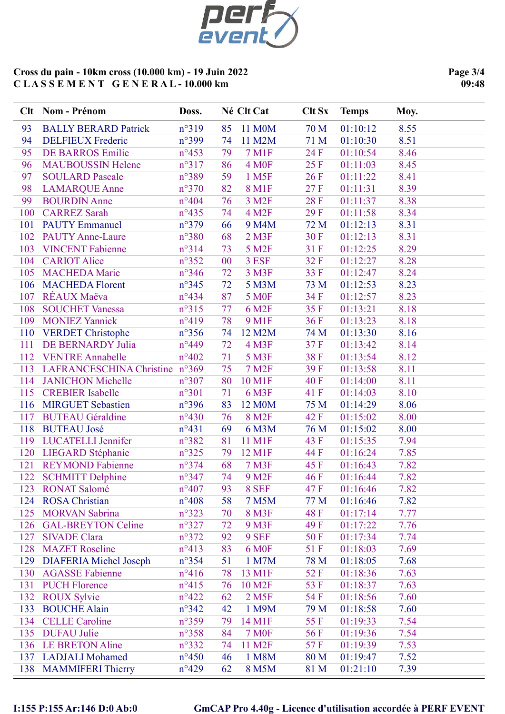

Page 3/4  $09:48$ 

|     | Clt Nom - Prénom               | Doss.          |    | Né Clt Cat          | <b>Clt Sx</b> | <b>Temps</b> | Moy. |
|-----|--------------------------------|----------------|----|---------------------|---------------|--------------|------|
| 93  | <b>BALLY BERARD Patrick</b>    | n°319          | 85 | 11 M0M              | 70 M          | 01:10:12     | 8.55 |
| 94  | <b>DELFIEUX Frederic</b>       | n°399          | 74 | 11 M2M              | 71 M          | 01:10:30     | 8.51 |
| 95  | DE BARROS Emilie               | $n^{\circ}453$ | 79 | 7 M1F               | 24 F          | 01:10:54     | 8.46 |
| 96  | <b>MAUBOUSSIN Helene</b>       | $n^{\circ}317$ | 86 | 4 M <sub>OF</sub>   | 25 F          | 01:11:03     | 8.45 |
| 97  | <b>SOULARD Pascale</b>         | n°389          | 59 | 1 M <sub>5F</sub>   | 26 F          | 01:11:22     | 8.41 |
| 98  | <b>LAMARQUE Anne</b>           | $n^{\circ}370$ | 82 | <b>8 M1F</b>        | 27F           | 01:11:31     | 8.39 |
| 99  | <b>BOURDIN Anne</b>            | $n^{\circ}404$ | 76 | 3 M <sub>2F</sub>   | 28 F          | 01:11:37     | 8.38 |
| 100 | <b>CARREZ Sarah</b>            | $n^{\circ}435$ | 74 | 4 M2F               | 29F           | 01:11:58     | 8.34 |
| 101 | <b>PAUTY Emmanuel</b>          | $n^{\circ}379$ | 66 | 9 M4M               | 72 M          | 01:12:13     | 8.31 |
| 102 | <b>PAUTY Anne-Laure</b>        | $n^{\circ}380$ | 68 | $2$ M3F             | 30 F          | 01:12:13     | 8.31 |
| 103 | <b>VINCENT Fabienne</b>        | $n^{\circ}314$ | 73 | 5 M2F               | 31 F          | 01:12:25     | 8.29 |
| 104 | <b>CARIOT Alice</b>            | $n^{\circ}352$ | 00 | 3 ESF               | 32F           | 01:12:27     | 8.28 |
| 105 | <b>MACHEDA Marie</b>           | $n^{\circ}346$ | 72 | 3 M3F               | 33 F          | 01:12:47     | 8.24 |
| 106 | <b>MACHEDA Florent</b>         | $n^{\circ}345$ | 72 | 5 M3M               | 73 M          | 01:12:53     | 8.23 |
| 107 | RÉAUX Maëva                    | $n^{\circ}434$ | 87 | <b>5 MOF</b>        | 34 F          | 01:12:57     | 8.23 |
| 108 | <b>SOUCHET Vanessa</b>         | $n^{\circ}315$ | 77 | 6 M <sub>2F</sub>   | 35 F          | 01:13:21     | 8.18 |
| 109 | <b>MONIEZ Yannick</b>          | $n^{\circ}419$ | 78 | 9 M1F               | 36F           | 01:13:23     | 8.18 |
|     | 110 VERDET Christophe          | $n^{\circ}356$ | 74 | 12 M2M              | 74 M          | 01:13:30     | 8.16 |
| 111 | DE BERNARDY Julia              | $n^{\circ}449$ | 72 | 4 M3F               | 37F           | 01:13:42     | 8.14 |
| 112 | <b>VENTRE Annabelle</b>        | $n^{\circ}402$ | 71 | 5 M3F               | 38F           | 01:13:54     | 8.12 |
| 113 | LAFRANCESCHINA Christine n°369 |                | 75 | 7 M <sub>2</sub> F  | 39 F          | 01:13:58     | 8.11 |
| 114 | <b>JANICHON Michelle</b>       | $n^{\circ}307$ | 80 | 10 M1F              | <b>40F</b>    | 01:14:00     | 8.11 |
| 115 | <b>CREBIER</b> Isabelle        | $n^{\circ}301$ | 71 | 6 M3F               | 41 F          | 01:14:03     | 8.10 |
| 116 | <b>MIRGUET Sebastien</b>       | $n^{\circ}396$ | 83 | 12 M0M              | 75 M          | 01:14:29     | 8.06 |
| 117 | <b>BUTEAU Géraldine</b>        | $n^{\circ}430$ | 76 | 8 M <sub>2F</sub>   | 42 F          | 01:15:02     | 8.00 |
| 118 | <b>BUTEAU José</b>             | $n^{\circ}431$ | 69 | 6 M3M               | 76 M          | 01:15:02     | 8.00 |
| 119 | <b>LUCATELLI Jennifer</b>      | $n^{\circ}382$ | 81 | 11 M1F              | 43 F          | 01:15:35     | 7.94 |
| 120 | <b>LIEGARD</b> Stéphanie       | $n^{\circ}325$ | 79 | 12 M1F              | 44 F          | 01:16:24     | 7.85 |
| 121 | <b>REYMOND Fabienne</b>        | $n^{\circ}374$ | 68 | <b>7 M3F</b>        | 45 F          | 01:16:43     | 7.82 |
| 122 | <b>SCHMITT Delphine</b>        | $n^{\circ}347$ | 74 | 9 M <sub>2F</sub>   | 46 F          | 01:16:44     | 7.82 |
| 123 | <b>RONAT Salomé</b>            | $n^{\circ}407$ | 93 | 8 SEF               | 47 F          | 01:16:46     | 7.82 |
| 124 | <b>ROSA</b> Christian          | $n^{\circ}408$ | 58 | 7 M5M               | 77 M          | 01:16:46     | 7.82 |
| 125 | <b>MORVAN Sabrina</b>          | $n^{\circ}323$ | 70 | 8 M3F               | 48 F          | 01:17:14     | 7.77 |
| 126 | <b>GAL-BREYTON Celine</b>      | $n^{\circ}327$ | 72 | 9 M3F               | 49 F          | 01:17:22     | 7.76 |
| 127 | <b>SIVADE Clara</b>            | $n^{\circ}372$ | 92 | 9 SEF               | 50 F          | 01:17:34     | 7.74 |
| 128 | <b>MAZET</b> Roseline          | $n^{\circ}413$ | 83 | <b>6 MOF</b>        | 51F           | 01:18:03     | 7.69 |
| 129 | <b>DIAFERIA Michel Joseph</b>  | $n^{\circ}354$ | 51 | 1 M7M               | 78 M          | 01:18:05     | 7.68 |
| 130 | <b>AGASSE Fabienne</b>         | $n^{\circ}416$ | 78 | 13 M1F              | 52 F          | 01:18:36     | 7.63 |
| 131 | <b>PUCH Florence</b>           | $n^{\circ}415$ | 76 | 10 M2F              | 53 F          | 01:18:37     | 7.63 |
| 132 | <b>ROUX Sylvie</b>             | $n^{\circ}422$ | 62 | 2 M <sub>5F</sub>   | 54 F          | 01:18:56     | 7.60 |
| 133 | <b>BOUCHE Alain</b>            | $n^{\circ}342$ | 42 | 1 M9M               | 79 M          | 01:18:58     | 7.60 |
| 134 | <b>CELLE</b> Caroline          | $n^{\circ}359$ | 79 | 14 M1F              | 55F           | 01:19:33     | 7.54 |
| 135 | <b>DUFAU Julie</b>             | $n^{\circ}358$ | 84 | <b>7 MOF</b>        | 56 F          | 01:19:36     | 7.54 |
|     | 136 LE BRETON Aline            | $n^{\circ}332$ | 74 | 11 M <sub>2</sub> F | 57 F          | 01:19:39     | 7.53 |
|     | 137 LADJALI Mohamed            | $n^{\circ}450$ | 46 | 1 M8M               | 80 M          | 01:19:47     | 7.52 |
| 138 | <b>MAMMIFERI Thierry</b>       | $n^{\circ}429$ | 62 | 8 M5M               | 81 M          | 01:21:10     | 7.39 |

# I:155 P:155 Ar:146 D:0 Ab:0 GmCAP Pro 4.40g - Licence d'utilisation accordée à PERF EVENT